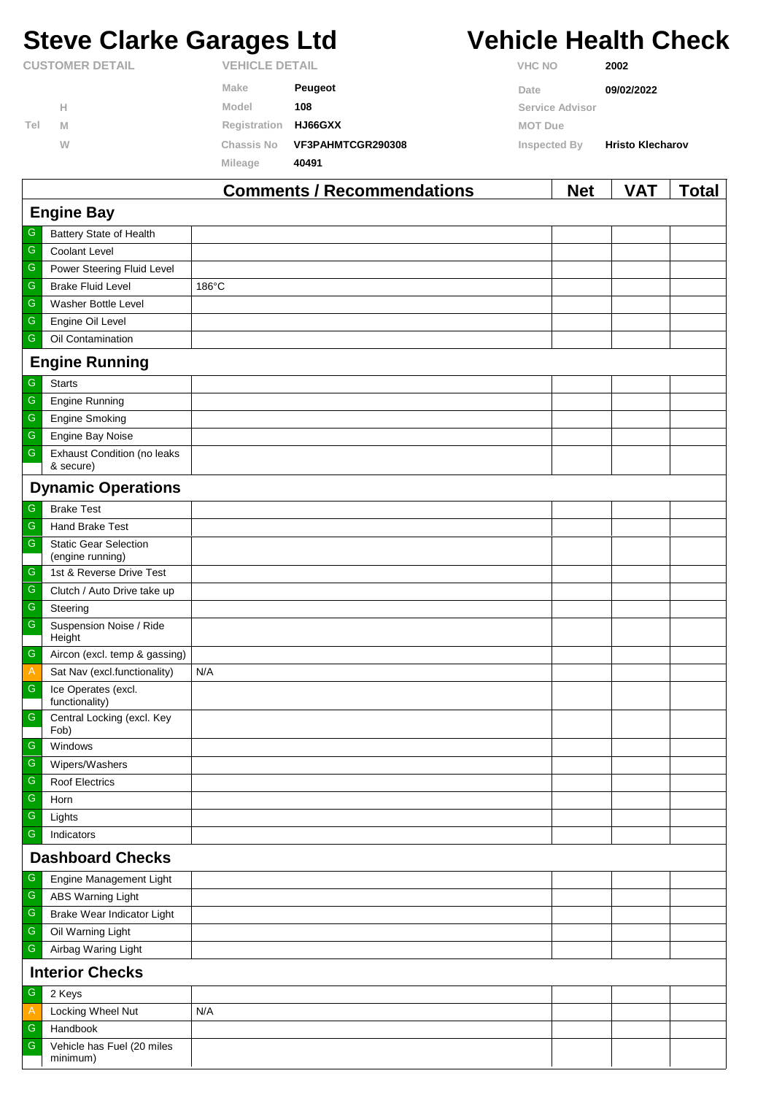# **Steve Clarke Garages Ltd Vehicle Health Check**

|                        |   |                   | Comments / Recommendations |                | <b>Net</b>            | VAT                     | Total |
|------------------------|---|-------------------|----------------------------|----------------|-----------------------|-------------------------|-------|
|                        |   | <b>Mileage</b>    | 40491                      |                |                       |                         |       |
|                        | W | <b>Chassis No</b> | VF3PAHMTCGR290308          | Inspected By   |                       | <b>Hristo Klecharov</b> |       |
| Tel                    | M | Registration      | <b>HJ66GXX</b>             | <b>MOT Due</b> |                       |                         |       |
|                        | Н | Model             | 108                        |                | Service Advisor       |                         |       |
|                        |   | Make              | Peugeot                    | Date           |                       | 09/02/2022              |       |
| <b>CUSTOMER DETAIL</b> |   |                   | <b>VEHICLE DETAIL</b>      |                | <b>VHC NO</b><br>2002 |                         |       |

|                         |                                                  | Comments / Recommendations | <b>Net</b> | VAI | <u>i</u> otal |  |  |
|-------------------------|--------------------------------------------------|----------------------------|------------|-----|---------------|--|--|
| <b>Engine Bay</b>       |                                                  |                            |            |     |               |  |  |
| ${\mathsf G}$           | Battery State of Health                          |                            |            |     |               |  |  |
| ${\mathsf G}$           | Coolant Level                                    |                            |            |     |               |  |  |
| ${\mathsf G}$           | Power Steering Fluid Level                       |                            |            |     |               |  |  |
| $\mathsf G$             | <b>Brake Fluid Level</b>                         | 186°C                      |            |     |               |  |  |
| ${\mathsf G}$           | Washer Bottle Level                              |                            |            |     |               |  |  |
| ${\mathsf G}$           | Engine Oil Level                                 |                            |            |     |               |  |  |
| ${\mathsf G}$           | Oil Contamination                                |                            |            |     |               |  |  |
|                         | <b>Engine Running</b>                            |                            |            |     |               |  |  |
| G                       | <b>Starts</b>                                    |                            |            |     |               |  |  |
| ${\mathsf G}$           | <b>Engine Running</b>                            |                            |            |     |               |  |  |
| $\overline{\mathbb{G}}$ | <b>Engine Smoking</b>                            |                            |            |     |               |  |  |
| ${\mathsf G}$           | Engine Bay Noise                                 |                            |            |     |               |  |  |
| ${\mathsf G}$           | <b>Exhaust Condition (no leaks</b><br>& secure)  |                            |            |     |               |  |  |
|                         | <b>Dynamic Operations</b>                        |                            |            |     |               |  |  |
| G                       | <b>Brake Test</b>                                |                            |            |     |               |  |  |
| ${\mathsf G}$           | Hand Brake Test                                  |                            |            |     |               |  |  |
| ${\mathsf G}$           | <b>Static Gear Selection</b><br>(engine running) |                            |            |     |               |  |  |
| ${\mathsf G}$           | 1st & Reverse Drive Test                         |                            |            |     |               |  |  |
| ${\mathsf G}$           | Clutch / Auto Drive take up                      |                            |            |     |               |  |  |
| ${\mathsf G}$           | Steering                                         |                            |            |     |               |  |  |
| ${\mathsf G}$           | Suspension Noise / Ride                          |                            |            |     |               |  |  |
| ${\mathsf G}$           | Height                                           |                            |            |     |               |  |  |
|                         | Aircon (excl. temp & gassing)                    |                            |            |     |               |  |  |
| $\mathsf{A}$            | Sat Nav (excl.functionality)                     | N/A                        |            |     |               |  |  |
| ${\mathsf G}$           | Ice Operates (excl.<br>functionality)            |                            |            |     |               |  |  |
| ${\mathsf G}$           | Central Locking (excl. Key<br>Fob)               |                            |            |     |               |  |  |
| G                       | Windows                                          |                            |            |     |               |  |  |
| ${\mathsf G}$           | Wipers/Washers                                   |                            |            |     |               |  |  |
| G                       | <b>Roof Electrics</b>                            |                            |            |     |               |  |  |
| ${\mathsf G}$           | Horn                                             |                            |            |     |               |  |  |
| ${\mathsf G}$           | Lights                                           |                            |            |     |               |  |  |
| ${\mathsf G}$           | Indicators                                       |                            |            |     |               |  |  |
| <b>Dashboard Checks</b> |                                                  |                            |            |     |               |  |  |
| G                       | Engine Management Light                          |                            |            |     |               |  |  |
| ${\mathsf G}$           | <b>ABS Warning Light</b>                         |                            |            |     |               |  |  |
| ${\mathsf G}$           | Brake Wear Indicator Light                       |                            |            |     |               |  |  |
| ${\mathsf G}$           | Oil Warning Light                                |                            |            |     |               |  |  |
| $\mathsf G$             | Airbag Waring Light                              |                            |            |     |               |  |  |
| <b>Interior Checks</b>  |                                                  |                            |            |     |               |  |  |
| ${\mathsf G}$           | 2 Keys                                           |                            |            |     |               |  |  |
| $\mathsf{A}$            | Locking Wheel Nut                                | N/A                        |            |     |               |  |  |
| ${\mathsf G}$           | Handbook                                         |                            |            |     |               |  |  |
| ${\mathsf G}$           | Vehicle has Fuel (20 miles<br>minimum)           |                            |            |     |               |  |  |